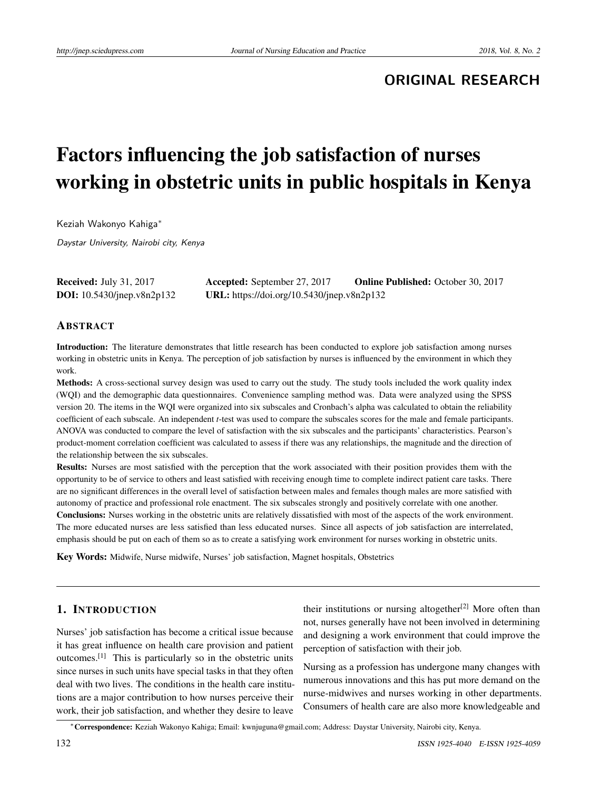## **ORIGINAL RESEARCH**

# Factors influencing the job satisfaction of nurses working in obstetric units in public hospitals in Kenya

Keziah Wakonyo Kahiga<sup>∗</sup>

Daystar University, Nairobi city, Kenya

Received: July 31, 2017 Accepted: September 27, 2017 Online Published: October 30, 2017 DOI: 10.5430/jnep.v8n2p132 URL: https://doi.org/10.5430/jnep.v8n2p132

## ABSTRACT

Introduction: The literature demonstrates that little research has been conducted to explore job satisfaction among nurses working in obstetric units in Kenya. The perception of job satisfaction by nurses is influenced by the environment in which they work.

Methods: A cross-sectional survey design was used to carry out the study. The study tools included the work quality index (WQI) and the demographic data questionnaires. Convenience sampling method was. Data were analyzed using the SPSS version 20. The items in the WQI were organized into six subscales and Cronbach's alpha was calculated to obtain the reliability coefficient of each subscale. An independent *t*-test was used to compare the subscales scores for the male and female participants. ANOVA was conducted to compare the level of satisfaction with the six subscales and the participants' characteristics. Pearson's product-moment correlation coefficient was calculated to assess if there was any relationships, the magnitude and the direction of the relationship between the six subscales.

Results: Nurses are most satisfied with the perception that the work associated with their position provides them with the opportunity to be of service to others and least satisfied with receiving enough time to complete indirect patient care tasks. There are no significant differences in the overall level of satisfaction between males and females though males are more satisfied with autonomy of practice and professional role enactment. The six subscales strongly and positively correlate with one another. Conclusions: Nurses working in the obstetric units are relatively dissatisfied with most of the aspects of the work environment. The more educated nurses are less satisfied than less educated nurses. Since all aspects of job satisfaction are interrelated, emphasis should be put on each of them so as to create a satisfying work environment for nurses working in obstetric units.

Key Words: Midwife, Nurse midwife, Nurses' job satisfaction, Magnet hospitals, Obstetrics

## 1. INTRODUCTION

Nurses' job satisfaction has become a critical issue because it has great influence on health care provision and patient outcomes.[\[1\]](#page-14-0) This is particularly so in the obstetric units since nurses in such units have special tasks in that they often deal with two lives. The conditions in the health care institutions are a major contribution to how nurses perceive their work, their job satisfaction, and whether they desire to leave

their institutions or nursing altogether $[2]$  More often than not, nurses generally have not been involved in determining and designing a work environment that could improve the perception of satisfaction with their job.

Nursing as a profession has undergone many changes with numerous innovations and this has put more demand on the nurse-midwives and nurses working in other departments. Consumers of health care are also more knowledgeable and

<sup>∗</sup>Correspondence: Keziah Wakonyo Kahiga; Email: kwnjuguna@gmail.com; Address: Daystar University, Nairobi city, Kenya.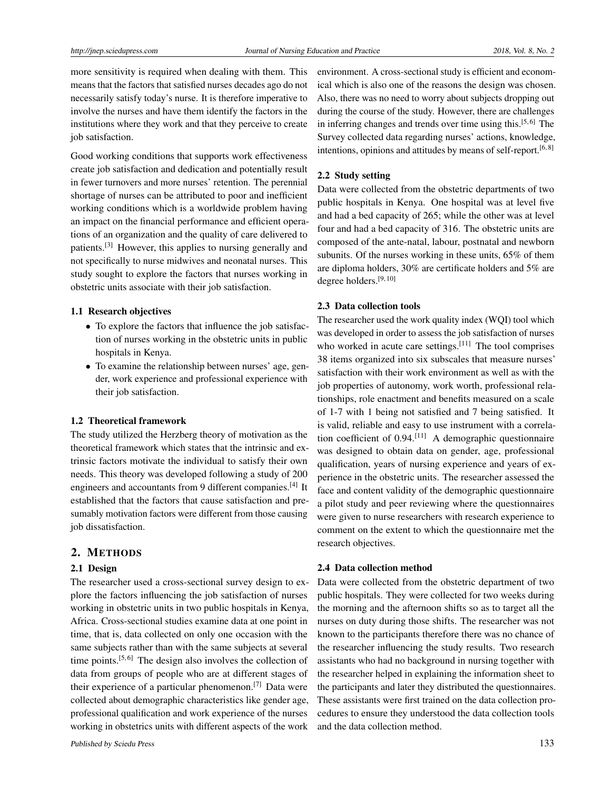more sensitivity is required when dealing with them. This means that the factors that satisfied nurses decades ago do not necessarily satisfy today's nurse. It is therefore imperative to involve the nurses and have them identify the factors in the institutions where they work and that they perceive to create job satisfaction.

Good working conditions that supports work effectiveness create job satisfaction and dedication and potentially result in fewer turnovers and more nurses' retention. The perennial shortage of nurses can be attributed to poor and inefficient working conditions which is a worldwide problem having an impact on the financial performance and efficient operations of an organization and the quality of care delivered to patients.[\[3\]](#page-14-2) However, this applies to nursing generally and not specifically to nurse midwives and neonatal nurses. This study sought to explore the factors that nurses working in obstetric units associate with their job satisfaction.

## 1.1 Research objectives

- To explore the factors that influence the job satisfaction of nurses working in the obstetric units in public hospitals in Kenya.
- To examine the relationship between nurses' age, gender, work experience and professional experience with their job satisfaction.

#### 1.2 Theoretical framework

The study utilized the Herzberg theory of motivation as the theoretical framework which states that the intrinsic and extrinsic factors motivate the individual to satisfy their own needs. This theory was developed following a study of 200 engineers and accountants from 9 different companies.<sup>[\[4\]](#page-14-3)</sup> It established that the factors that cause satisfaction and presumably motivation factors were different from those causing job dissatisfaction.

## 2. METHODS

#### 2.1 Design

The researcher used a cross-sectional survey design to explore the factors influencing the job satisfaction of nurses working in obstetric units in two public hospitals in Kenya, Africa. Cross-sectional studies examine data at one point in time, that is, data collected on only one occasion with the same subjects rather than with the same subjects at several time points.<sup>[\[5,](#page-14-4) [6\]](#page-14-5)</sup> The design also involves the collection of data from groups of people who are at different stages of their experience of a particular phenomenon.<sup>[\[7\]](#page-14-6)</sup> Data were collected about demographic characteristics like gender age, professional qualification and work experience of the nurses working in obstetrics units with different aspects of the work

environment. A cross-sectional study is efficient and economical which is also one of the reasons the design was chosen. Also, there was no need to worry about subjects dropping out during the course of the study. However, there are challenges in inferring changes and trends over time using this.<sup>[\[5,](#page-14-4) [6\]](#page-14-5)</sup> The Survey collected data regarding nurses' actions, knowledge, intentions, opinions and attitudes by means of self-report.<sup>[\[6,](#page-14-5)[8\]](#page-14-7)</sup>

## 2.2 Study setting

Data were collected from the obstetric departments of two public hospitals in Kenya. One hospital was at level five and had a bed capacity of 265; while the other was at level four and had a bed capacity of 316. The obstetric units are composed of the ante-natal, labour, postnatal and newborn subunits. Of the nurses working in these units, 65% of them are diploma holders, 30% are certificate holders and 5% are degree holders.[\[9,](#page-14-8) [10\]](#page-14-9)

## 2.3 Data collection tools

The researcher used the work quality index (WQI) tool which was developed in order to assess the job satisfaction of nurses who worked in acute care settings.<sup>[\[11\]](#page-14-10)</sup> The tool comprises 38 items organized into six subscales that measure nurses' satisfaction with their work environment as well as with the job properties of autonomy, work worth, professional relationships, role enactment and benefits measured on a scale of 1-7 with 1 being not satisfied and 7 being satisfied. It is valid, reliable and easy to use instrument with a correlation coefficient of  $0.94$ .<sup>[\[11\]](#page-14-10)</sup> A demographic questionnaire was designed to obtain data on gender, age, professional qualification, years of nursing experience and years of experience in the obstetric units. The researcher assessed the face and content validity of the demographic questionnaire a pilot study and peer reviewing where the questionnaires were given to nurse researchers with research experience to comment on the extent to which the questionnaire met the research objectives.

#### 2.4 Data collection method

Data were collected from the obstetric department of two public hospitals. They were collected for two weeks during the morning and the afternoon shifts so as to target all the nurses on duty during those shifts. The researcher was not known to the participants therefore there was no chance of the researcher influencing the study results. Two research assistants who had no background in nursing together with the researcher helped in explaining the information sheet to the participants and later they distributed the questionnaires. These assistants were first trained on the data collection procedures to ensure they understood the data collection tools and the data collection method.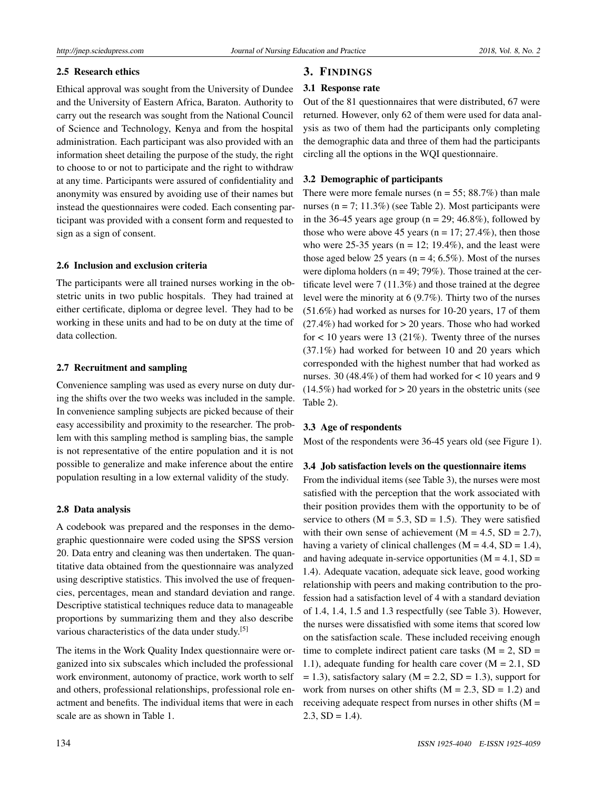## 2.5 Research ethics

Ethical approval was sought from the University of Dundee and the University of Eastern Africa, Baraton. Authority to carry out the research was sought from the National Council of Science and Technology, Kenya and from the hospital administration. Each participant was also provided with an information sheet detailing the purpose of the study, the right to choose to or not to participate and the right to withdraw at any time. Participants were assured of confidentiality and anonymity was ensured by avoiding use of their names but instead the questionnaires were coded. Each consenting participant was provided with a consent form and requested to sign as a sign of consent.

## 2.6 Inclusion and exclusion criteria

The participants were all trained nurses working in the obstetric units in two public hospitals. They had trained at either certificate, diploma or degree level. They had to be working in these units and had to be on duty at the time of data collection.

## 2.7 Recruitment and sampling

Convenience sampling was used as every nurse on duty during the shifts over the two weeks was included in the sample. In convenience sampling subjects are picked because of their easy accessibility and proximity to the researcher. The problem with this sampling method is sampling bias, the sample is not representative of the entire population and it is not possible to generalize and make inference about the entire population resulting in a low external validity of the study.

## 2.8 Data analysis

A codebook was prepared and the responses in the demographic questionnaire were coded using the SPSS version 20. Data entry and cleaning was then undertaken. The quantitative data obtained from the questionnaire was analyzed using descriptive statistics. This involved the use of frequencies, percentages, mean and standard deviation and range. Descriptive statistical techniques reduce data to manageable proportions by summarizing them and they also describe various characteristics of the data under study.<sup>[\[5\]](#page-14-4)</sup>

The items in the Work Quality Index questionnaire were organized into six subscales which included the professional work environment, autonomy of practice, work worth to self and others, professional relationships, professional role enactment and benefits. The individual items that were in each scale are as shown in Table 1.

## 3. FINDINGS

## 3.1 Response rate

Out of the 81 questionnaires that were distributed, 67 were returned. However, only 62 of them were used for data analysis as two of them had the participants only completing the demographic data and three of them had the participants circling all the options in the WQI questionnaire.

## 3.2 Demographic of participants

There were more female nurses ( $n = 55$ ; 88.7%) than male nurses ( $n = 7$ ; 11.3%) (see Table 2). Most participants were in the 36-45 years age group ( $n = 29$ ; 46.8%), followed by those who were above 45 years ( $n = 17$ ; 27.4%), then those who were 25-35 years ( $n = 12$ ; 19.4%), and the least were those aged below 25 years ( $n = 4$ ; 6.5%). Most of the nurses were diploma holders ( $n = 49$ ; 79%). Those trained at the certificate level were 7 (11.3%) and those trained at the degree level were the minority at 6 (9.7%). Thirty two of the nurses (51.6%) had worked as nurses for 10-20 years, 17 of them (27.4%) had worked for > 20 years. Those who had worked for  $< 10$  years were 13 (21%). Twenty three of the nurses (37.1%) had worked for between 10 and 20 years which corresponded with the highest number that had worked as nurses. 30 (48.4%) of them had worked for < 10 years and 9  $(14.5\%)$  had worked for  $> 20$  years in the obstetric units (see Table 2).

## 3.3 Age of respondents

Most of the respondents were 36-45 years old (see Figure 1).

## 3.4 Job satisfaction levels on the questionnaire items

From the individual items (see Table 3), the nurses were most satisfied with the perception that the work associated with their position provides them with the opportunity to be of service to others  $(M = 5.3, SD = 1.5)$ . They were satisfied with their own sense of achievement ( $M = 4.5$ ,  $SD = 2.7$ ), having a variety of clinical challenges  $(M = 4.4, SD = 1.4)$ , and having adequate in-service opportunities  $(M = 4.1, SD =$ 1.4). Adequate vacation, adequate sick leave, good working relationship with peers and making contribution to the profession had a satisfaction level of 4 with a standard deviation of 1.4, 1.4, 1.5 and 1.3 respectfully (see Table 3). However, the nurses were dissatisfied with some items that scored low on the satisfaction scale. These included receiving enough time to complete indirect patient care tasks  $(M = 2, SD =$ 1.1), adequate funding for health care cover  $(M = 2.1, SD)$  $= 1.3$ ), satisfactory salary (M = 2.2, SD = 1.3), support for work from nurses on other shifts  $(M = 2.3, SD = 1.2)$  and receiving adequate respect from nurses in other shifts  $(M =$  $2.3, SD = 1.4$ ).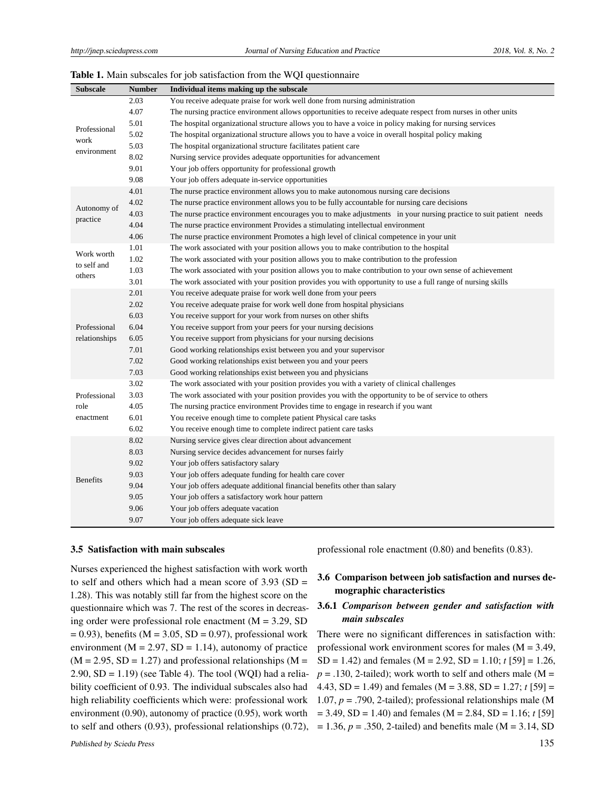| <b>Subscale</b>         | <b>Number</b> | Individual items making up the subscale                                                                          |
|-------------------------|---------------|------------------------------------------------------------------------------------------------------------------|
|                         | 2.03          | You receive adequate praise for work well done from nursing administration                                       |
|                         | 4.07          | The nursing practice environment allows opportunities to receive adequate respect from nurses in other units     |
|                         | 5.01          | The hospital organizational structure allows you to have a voice in policy making for nursing services           |
| Professional<br>work    | 5.02          | The hospital organizational structure allows you to have a voice in overall hospital policy making               |
| environment             | 5.03          | The hospital organizational structure facilitates patient care                                                   |
|                         | 8.02          | Nursing service provides adequate opportunities for advancement                                                  |
|                         | 9.01          | Your job offers opportunity for professional growth                                                              |
|                         | 9.08          | Your job offers adequate in-service opportunities                                                                |
|                         | 4.01          | The nurse practice environment allows you to make autonomous nursing care decisions                              |
| Autonomy of<br>practice | 4.02          | The nurse practice environment allows you to be fully accountable for nursing care decisions                     |
|                         | 4.03          | The nurse practice environment encourages you to make adjustments in your nursing practice to suit patient needs |
|                         | 4.04          | The nurse practice environment Provides a stimulating intellectual environment                                   |
|                         | 4.06          | The nurse practice environment Promotes a high level of clinical competence in your unit                         |
| Work worth              | 1.01          | The work associated with your position allows you to make contribution to the hospital                           |
| to self and             | 1.02          | The work associated with your position allows you to make contribution to the profession                         |
| others                  | 1.03          | The work associated with your position allows you to make contribution to your own sense of achievement          |
|                         | 3.01          | The work associated with your position provides you with opportunity to use a full range of nursing skills       |
|                         | 2.01          | You receive adequate praise for work well done from your peers                                                   |
|                         | 2.02          | You receive adequate praise for work well done from hospital physicians                                          |
|                         | 6.03          | You receive support for your work from nurses on other shifts                                                    |
| Professional            | 6.04          | You receive support from your peers for your nursing decisions                                                   |
| relationships           | 6.05          | You receive support from physicians for your nursing decisions                                                   |
|                         | 7.01          | Good working relationships exist between you and your supervisor                                                 |
|                         | 7.02          | Good working relationships exist between you and your peers                                                      |
|                         | 7.03          | Good working relationships exist between you and physicians                                                      |
|                         | 3.02          | The work associated with your position provides you with a variety of clinical challenges                        |
| Professional            | 3.03          | The work associated with your position provides you with the opportunity to be of service to others              |
| role                    | 4.05          | The nursing practice environment Provides time to engage in research if you want                                 |
| enactment               | 6.01          | You receive enough time to complete patient Physical care tasks                                                  |
|                         | 6.02          | You receive enough time to complete indirect patient care tasks                                                  |
|                         | 8.02          | Nursing service gives clear direction about advancement                                                          |
|                         | 8.03          | Nursing service decides advancement for nurses fairly                                                            |
|                         | 9.02          | Your job offers satisfactory salary                                                                              |
| <b>Benefits</b>         | 9.03          | Your job offers adequate funding for health care cover                                                           |
|                         | 9.04          | Your job offers adequate additional financial benefits other than salary                                         |
|                         | 9.05          | Your job offers a satisfactory work hour pattern                                                                 |
|                         | 9.06          | Your job offers adequate vacation                                                                                |
|                         | 9.07          | Your job offers adequate sick leave                                                                              |

#### Table 1. Main subscales for job satisfaction from the WQI questionnaire

## 3.5 Satisfaction with main subscales

Nurses experienced the highest satisfaction with work worth to self and others which had a mean score of 3.93 (SD = 1.28). This was notably still far from the highest score on the questionnaire which was 7. The rest of the scores in decreasing order were professional role enactment  $(M = 3.29, SD)$  $= 0.93$ ), benefits (M = 3.05, SD = 0.97), professional work environment ( $M = 2.97$ ,  $SD = 1.14$ ), autonomy of practice  $(M = 2.95, SD = 1.27)$  and professional relationships  $(M = 1.29)$  $2.90$ , SD = 1.19) (see Table 4). The tool (WQI) had a reliability coefficient of 0.93. The individual subscales also had high reliability coefficients which were: professional work environment (0.90), autonomy of practice (0.95), work worth to self and others (0.93), professional relationships  $(0.72)$ ,  $= 1.36$ ,  $p = .350$ , 2-tailed) and benefits male (M = 3.14, SD)

professional role enactment (0.80) and benefits (0.83).

## 3.6 Comparison between job satisfaction and nurses demographic characteristics

## 3.6.1 *Comparison between gender and satisfaction with main subscales*

There were no significant differences in satisfaction with: professional work environment scores for males  $(M = 3.49)$ , SD = 1.42) and females (M = 2.92, SD = 1.10; *t* [59] = 1.26,  $p = .130$ , 2-tailed); work worth to self and others male (M = 4.43, SD = 1.49) and females (M = 3.88, SD = 1.27; *t* [59] = 1.07, *p* = .790, 2-tailed); professional relationships male (M = 3.49, SD = 1.40) and females (M = 2.84, SD = 1.16; *t* [59]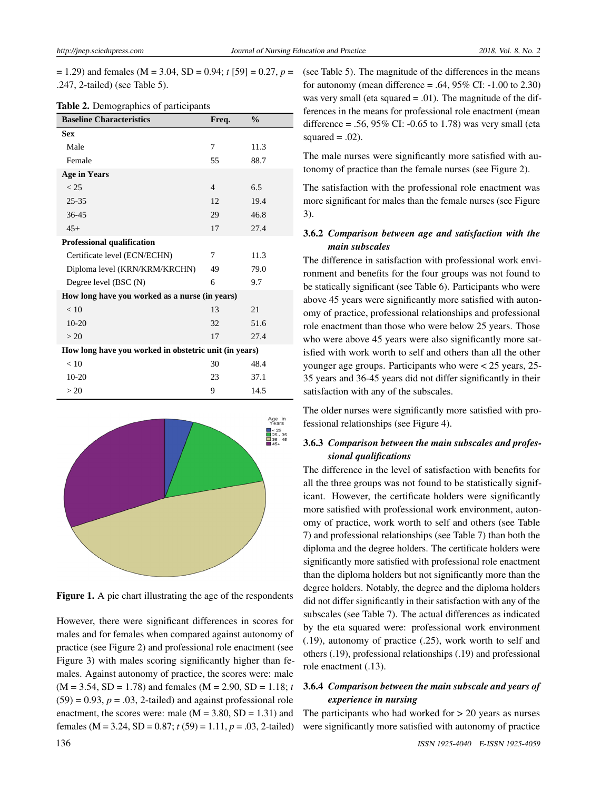= 1.29) and females (M = 3.04, SD = 0.94; *t* [59] = 0.27, *p* = .247, 2-tailed) (see Table 5).

|  | Table 2. Demographics of participants |  |  |  |
|--|---------------------------------------|--|--|--|
|--|---------------------------------------|--|--|--|

| <b>Baseline Characteristics</b>                       | Freq.          | $\frac{0}{0}$ |
|-------------------------------------------------------|----------------|---------------|
| <b>Sex</b>                                            |                |               |
| Male                                                  | 7              | 11.3          |
| Female                                                | 55             | 88.7          |
| <b>Age in Years</b>                                   |                |               |
| < 25                                                  | $\overline{4}$ | 6.5           |
| $25 - 35$                                             | 12             | 19.4          |
| $36 - 45$                                             | 29             | 46.8          |
| $45+$                                                 | 17             | 27.4          |
| <b>Professional qualification</b>                     |                |               |
| Certificate level (ECN/ECHN)                          | 7              | 11.3          |
| Diploma level (KRN/KRM/KRCHN)                         | 49             | 79.0          |
| Degree level (BSC (N)                                 | 6              | 9.7           |
| How long have you worked as a nurse (in years)        |                |               |
| < 10                                                  | 13             | 2.1           |
| $10 - 20$                                             | 32             | 51.6          |
| > 20                                                  | 17             | 27.4          |
| How long have you worked in obstetric unit (in years) |                |               |
| < 10                                                  | 30             | 48.4          |
| $10 - 20$                                             | 23             | 37.1          |
| >20                                                   | 9              | 14.5          |



Figure 1. A pie chart illustrating the age of the respondents

However, there were significant differences in scores for males and for females when compared against autonomy of practice (see Figure 2) and professional role enactment (see Figure 3) with males scoring significantly higher than females. Against autonomy of practice, the scores were: male (M = 3.54, SD = 1.78) and females (M = 2.90, SD = 1.18; *t*  $(59) = 0.93$ ,  $p = .03$ , 2-tailed) and against professional role enactment, the scores were: male  $(M = 3.80, SD = 1.31)$  and females (M = 3.24, SD = 0.87; *t* (59) = 1.11, *p* = .03, 2-tailed)

(see Table 5). The magnitude of the differences in the means for autonomy (mean difference = .64,  $95\%$  CI: -1.00 to 2.30) was very small (eta squared  $= .01$ ). The magnitude of the differences in the means for professional role enactment (mean difference = .56,  $95\%$  CI: -0.65 to 1.78) was very small (eta squared  $= .02$ ).

The male nurses were significantly more satisfied with autonomy of practice than the female nurses (see Figure 2).

The satisfaction with the professional role enactment was more significant for males than the female nurses (see Figure 3).

## 3.6.2 *Comparison between age and satisfaction with the main subscales*

The difference in satisfaction with professional work environment and benefits for the four groups was not found to be statically significant (see Table 6). Participants who were above 45 years were significantly more satisfied with autonomy of practice, professional relationships and professional role enactment than those who were below 25 years. Those who were above 45 years were also significantly more satisfied with work worth to self and others than all the other younger age groups. Participants who were < 25 years, 25- 35 years and 36-45 years did not differ significantly in their satisfaction with any of the subscales.

The older nurses were significantly more satisfied with professional relationships (see Figure 4).

## 3.6.3 *Comparison between the main subscales and professional qualifications*

The difference in the level of satisfaction with benefits for all the three groups was not found to be statistically significant. However, the certificate holders were significantly more satisfied with professional work environment, autonomy of practice, work worth to self and others (see Table 7) and professional relationships (see Table 7) than both the diploma and the degree holders. The certificate holders were significantly more satisfied with professional role enactment than the diploma holders but not significantly more than the degree holders. Notably, the degree and the diploma holders did not differ significantly in their satisfaction with any of the subscales (see Table 7). The actual differences as indicated by the eta squared were: professional work environment (.19), autonomy of practice (.25), work worth to self and others (.19), professional relationships (.19) and professional role enactment (.13).

## 3.6.4 *Comparison between the main subscale and years of experience in nursing*

The participants who had worked for  $> 20$  years as nurses were significantly more satisfied with autonomy of practice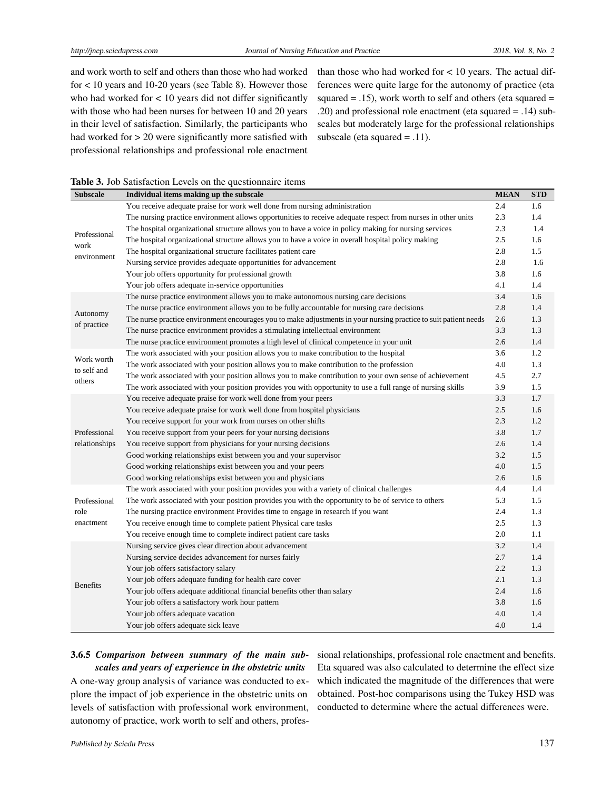and work worth to self and others than those who had worked for < 10 years and 10-20 years (see Table 8). However those who had worked for < 10 years did not differ significantly with those who had been nurses for between 10 and 20 years in their level of satisfaction. Similarly, the participants who had worked for > 20 were significantly more satisfied with professional relationships and professional role enactment than those who had worked for  $< 10$  years. The actual differences were quite large for the autonomy of practice (eta squared  $=$  .15), work worth to self and others (eta squared  $=$ .20) and professional role enactment (eta squared = .14) subscales but moderately large for the professional relationships subscale (eta squared  $= .11$ ).

Table 3. Job Satisfaction Levels on the questionnaire items

| You receive adequate praise for work well done from nursing administration<br>2.4<br>1.6<br>The nursing practice environment allows opportunities to receive adequate respect from nurses in other units<br>2.3<br>1.4<br>The hospital organizational structure allows you to have a voice in policy making for nursing services<br>2.3<br>1.4<br>Professional<br>The hospital organizational structure allows you to have a voice in overall hospital policy making<br>2.5<br>1.6<br>work<br>The hospital organizational structure facilitates patient care<br>2.8<br>1.5<br>environment<br>Nursing service provides adequate opportunities for advancement<br>2.8<br>1.6<br>3.8<br>Your job offers opportunity for professional growth<br>1.6<br>Your job offers adequate in-service opportunities<br>4.1<br>1.4<br>The nurse practice environment allows you to make autonomous nursing care decisions<br>3.4<br>1.6<br>2.8<br>The nurse practice environment allows you to be fully accountable for nursing care decisions<br>1.4<br>Autonomy<br>The nurse practice environment encourages you to make adjustments in your nursing practice to suit patient needs<br>2.6<br>1.3<br>of practice<br>The nurse practice environment provides a stimulating intellectual environment<br>3.3<br>1.3<br>2.6<br>The nurse practice environment promotes a high level of clinical competence in your unit<br>1.4<br>The work associated with your position allows you to make contribution to the hospital<br>3.6<br>1.2<br>Work worth<br>4.0<br>1.3 |
|--------------------------------------------------------------------------------------------------------------------------------------------------------------------------------------------------------------------------------------------------------------------------------------------------------------------------------------------------------------------------------------------------------------------------------------------------------------------------------------------------------------------------------------------------------------------------------------------------------------------------------------------------------------------------------------------------------------------------------------------------------------------------------------------------------------------------------------------------------------------------------------------------------------------------------------------------------------------------------------------------------------------------------------------------------------------------------------------------------------------------------------------------------------------------------------------------------------------------------------------------------------------------------------------------------------------------------------------------------------------------------------------------------------------------------------------------------------------------------------------------------------------------------------------------|
|                                                                                                                                                                                                                                                                                                                                                                                                                                                                                                                                                                                                                                                                                                                                                                                                                                                                                                                                                                                                                                                                                                                                                                                                                                                                                                                                                                                                                                                                                                                                                  |
|                                                                                                                                                                                                                                                                                                                                                                                                                                                                                                                                                                                                                                                                                                                                                                                                                                                                                                                                                                                                                                                                                                                                                                                                                                                                                                                                                                                                                                                                                                                                                  |
|                                                                                                                                                                                                                                                                                                                                                                                                                                                                                                                                                                                                                                                                                                                                                                                                                                                                                                                                                                                                                                                                                                                                                                                                                                                                                                                                                                                                                                                                                                                                                  |
|                                                                                                                                                                                                                                                                                                                                                                                                                                                                                                                                                                                                                                                                                                                                                                                                                                                                                                                                                                                                                                                                                                                                                                                                                                                                                                                                                                                                                                                                                                                                                  |
|                                                                                                                                                                                                                                                                                                                                                                                                                                                                                                                                                                                                                                                                                                                                                                                                                                                                                                                                                                                                                                                                                                                                                                                                                                                                                                                                                                                                                                                                                                                                                  |
|                                                                                                                                                                                                                                                                                                                                                                                                                                                                                                                                                                                                                                                                                                                                                                                                                                                                                                                                                                                                                                                                                                                                                                                                                                                                                                                                                                                                                                                                                                                                                  |
|                                                                                                                                                                                                                                                                                                                                                                                                                                                                                                                                                                                                                                                                                                                                                                                                                                                                                                                                                                                                                                                                                                                                                                                                                                                                                                                                                                                                                                                                                                                                                  |
|                                                                                                                                                                                                                                                                                                                                                                                                                                                                                                                                                                                                                                                                                                                                                                                                                                                                                                                                                                                                                                                                                                                                                                                                                                                                                                                                                                                                                                                                                                                                                  |
|                                                                                                                                                                                                                                                                                                                                                                                                                                                                                                                                                                                                                                                                                                                                                                                                                                                                                                                                                                                                                                                                                                                                                                                                                                                                                                                                                                                                                                                                                                                                                  |
|                                                                                                                                                                                                                                                                                                                                                                                                                                                                                                                                                                                                                                                                                                                                                                                                                                                                                                                                                                                                                                                                                                                                                                                                                                                                                                                                                                                                                                                                                                                                                  |
|                                                                                                                                                                                                                                                                                                                                                                                                                                                                                                                                                                                                                                                                                                                                                                                                                                                                                                                                                                                                                                                                                                                                                                                                                                                                                                                                                                                                                                                                                                                                                  |
|                                                                                                                                                                                                                                                                                                                                                                                                                                                                                                                                                                                                                                                                                                                                                                                                                                                                                                                                                                                                                                                                                                                                                                                                                                                                                                                                                                                                                                                                                                                                                  |
|                                                                                                                                                                                                                                                                                                                                                                                                                                                                                                                                                                                                                                                                                                                                                                                                                                                                                                                                                                                                                                                                                                                                                                                                                                                                                                                                                                                                                                                                                                                                                  |
|                                                                                                                                                                                                                                                                                                                                                                                                                                                                                                                                                                                                                                                                                                                                                                                                                                                                                                                                                                                                                                                                                                                                                                                                                                                                                                                                                                                                                                                                                                                                                  |
| The work associated with your position allows you to make contribution to the profession                                                                                                                                                                                                                                                                                                                                                                                                                                                                                                                                                                                                                                                                                                                                                                                                                                                                                                                                                                                                                                                                                                                                                                                                                                                                                                                                                                                                                                                         |
| to self and<br>2.7<br>The work associated with your position allows you to make contribution to your own sense of achievement<br>4.5                                                                                                                                                                                                                                                                                                                                                                                                                                                                                                                                                                                                                                                                                                                                                                                                                                                                                                                                                                                                                                                                                                                                                                                                                                                                                                                                                                                                             |
| others<br>3.9<br>1.5<br>The work associated with your position provides you with opportunity to use a full range of nursing skills                                                                                                                                                                                                                                                                                                                                                                                                                                                                                                                                                                                                                                                                                                                                                                                                                                                                                                                                                                                                                                                                                                                                                                                                                                                                                                                                                                                                               |
| You receive adequate praise for work well done from your peers<br>3.3<br>1.7                                                                                                                                                                                                                                                                                                                                                                                                                                                                                                                                                                                                                                                                                                                                                                                                                                                                                                                                                                                                                                                                                                                                                                                                                                                                                                                                                                                                                                                                     |
| You receive adequate praise for work well done from hospital physicians<br>2.5<br>1.6                                                                                                                                                                                                                                                                                                                                                                                                                                                                                                                                                                                                                                                                                                                                                                                                                                                                                                                                                                                                                                                                                                                                                                                                                                                                                                                                                                                                                                                            |
| 2.3<br>1.2<br>You receive support for your work from nurses on other shifts                                                                                                                                                                                                                                                                                                                                                                                                                                                                                                                                                                                                                                                                                                                                                                                                                                                                                                                                                                                                                                                                                                                                                                                                                                                                                                                                                                                                                                                                      |
| You receive support from your peers for your nursing decisions<br>3.8<br>Professional<br>1.7                                                                                                                                                                                                                                                                                                                                                                                                                                                                                                                                                                                                                                                                                                                                                                                                                                                                                                                                                                                                                                                                                                                                                                                                                                                                                                                                                                                                                                                     |
| relationships<br>You receive support from physicians for your nursing decisions<br>2.6<br>1.4                                                                                                                                                                                                                                                                                                                                                                                                                                                                                                                                                                                                                                                                                                                                                                                                                                                                                                                                                                                                                                                                                                                                                                                                                                                                                                                                                                                                                                                    |
| 3.2<br>1.5<br>Good working relationships exist between you and your supervisor                                                                                                                                                                                                                                                                                                                                                                                                                                                                                                                                                                                                                                                                                                                                                                                                                                                                                                                                                                                                                                                                                                                                                                                                                                                                                                                                                                                                                                                                   |
| 4.0<br>1.5<br>Good working relationships exist between you and your peers                                                                                                                                                                                                                                                                                                                                                                                                                                                                                                                                                                                                                                                                                                                                                                                                                                                                                                                                                                                                                                                                                                                                                                                                                                                                                                                                                                                                                                                                        |
| 2.6<br>Good working relationships exist between you and physicians<br>1.6                                                                                                                                                                                                                                                                                                                                                                                                                                                                                                                                                                                                                                                                                                                                                                                                                                                                                                                                                                                                                                                                                                                                                                                                                                                                                                                                                                                                                                                                        |
| 4.4<br>1.4<br>The work associated with your position provides you with a variety of clinical challenges                                                                                                                                                                                                                                                                                                                                                                                                                                                                                                                                                                                                                                                                                                                                                                                                                                                                                                                                                                                                                                                                                                                                                                                                                                                                                                                                                                                                                                          |
| The work associated with your position provides you with the opportunity to be of service to others<br>5.3<br>1.5<br>Professional                                                                                                                                                                                                                                                                                                                                                                                                                                                                                                                                                                                                                                                                                                                                                                                                                                                                                                                                                                                                                                                                                                                                                                                                                                                                                                                                                                                                                |
| The nursing practice environment Provides time to engage in research if you want<br>2.4<br>1.3<br>role                                                                                                                                                                                                                                                                                                                                                                                                                                                                                                                                                                                                                                                                                                                                                                                                                                                                                                                                                                                                                                                                                                                                                                                                                                                                                                                                                                                                                                           |
| You receive enough time to complete patient Physical care tasks<br>1.3<br>2.5<br>enactment                                                                                                                                                                                                                                                                                                                                                                                                                                                                                                                                                                                                                                                                                                                                                                                                                                                                                                                                                                                                                                                                                                                                                                                                                                                                                                                                                                                                                                                       |
| 2.0<br>1.1<br>You receive enough time to complete indirect patient care tasks                                                                                                                                                                                                                                                                                                                                                                                                                                                                                                                                                                                                                                                                                                                                                                                                                                                                                                                                                                                                                                                                                                                                                                                                                                                                                                                                                                                                                                                                    |
| 3.2<br>Nursing service gives clear direction about advancement<br>1.4                                                                                                                                                                                                                                                                                                                                                                                                                                                                                                                                                                                                                                                                                                                                                                                                                                                                                                                                                                                                                                                                                                                                                                                                                                                                                                                                                                                                                                                                            |
| Nursing service decides advancement for nurses fairly<br>2.7<br>1.4                                                                                                                                                                                                                                                                                                                                                                                                                                                                                                                                                                                                                                                                                                                                                                                                                                                                                                                                                                                                                                                                                                                                                                                                                                                                                                                                                                                                                                                                              |
| 2.2<br>1.3<br>Your job offers satisfactory salary                                                                                                                                                                                                                                                                                                                                                                                                                                                                                                                                                                                                                                                                                                                                                                                                                                                                                                                                                                                                                                                                                                                                                                                                                                                                                                                                                                                                                                                                                                |
| 2.1<br>Your job offers adequate funding for health care cover<br>1.3                                                                                                                                                                                                                                                                                                                                                                                                                                                                                                                                                                                                                                                                                                                                                                                                                                                                                                                                                                                                                                                                                                                                                                                                                                                                                                                                                                                                                                                                             |
| <b>Benefits</b><br>2.4<br>Your job offers adequate additional financial benefits other than salary<br>1.6                                                                                                                                                                                                                                                                                                                                                                                                                                                                                                                                                                                                                                                                                                                                                                                                                                                                                                                                                                                                                                                                                                                                                                                                                                                                                                                                                                                                                                        |
| Your job offers a satisfactory work hour pattern<br>3.8<br>1.6                                                                                                                                                                                                                                                                                                                                                                                                                                                                                                                                                                                                                                                                                                                                                                                                                                                                                                                                                                                                                                                                                                                                                                                                                                                                                                                                                                                                                                                                                   |
| 4.0<br>1.4<br>Your job offers adequate vacation                                                                                                                                                                                                                                                                                                                                                                                                                                                                                                                                                                                                                                                                                                                                                                                                                                                                                                                                                                                                                                                                                                                                                                                                                                                                                                                                                                                                                                                                                                  |
| 4.0<br>1.4<br>Your job offers adequate sick leave                                                                                                                                                                                                                                                                                                                                                                                                                                                                                                                                                                                                                                                                                                                                                                                                                                                                                                                                                                                                                                                                                                                                                                                                                                                                                                                                                                                                                                                                                                |

## 3.6.5 *Comparison between summary of the main subscales and years of experience in the obstetric units*

A one-way group analysis of variance was conducted to explore the impact of job experience in the obstetric units on levels of satisfaction with professional work environment, autonomy of practice, work worth to self and others, professional relationships, professional role enactment and benefits. Eta squared was also calculated to determine the effect size which indicated the magnitude of the differences that were obtained. Post-hoc comparisons using the Tukey HSD was conducted to determine where the actual differences were.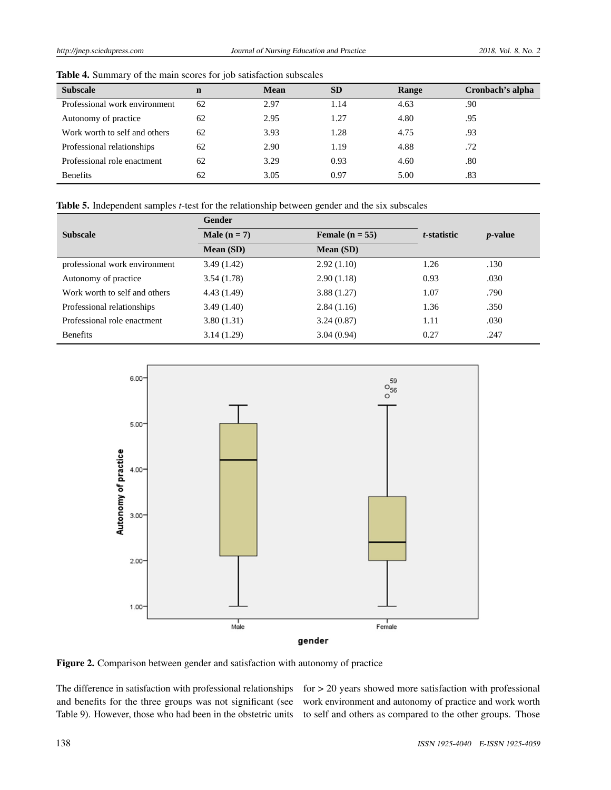| <b>Subscale</b>               | $\mathbf n$ | <b>Mean</b> | <b>SD</b> | Range | Cronbach's alpha |
|-------------------------------|-------------|-------------|-----------|-------|------------------|
| Professional work environment | 62          | 2.97        | 1.14      | 4.63  | .90              |
| Autonomy of practice          | 62          | 2.95        | 1.27      | 4.80  | .95              |
| Work worth to self and others | 62          | 3.93        | 1.28      | 4.75  | .93              |
| Professional relationships    | 62          | 2.90        | 1.19      | 4.88  | .72              |
| Professional role enactment   | 62          | 3.29        | 0.93      | 4.60  | $.80\,$          |
| <b>Benefits</b>               | 62          | 3.05        | 0.97      | 5.00  | .83              |

Table 4. Summary of the main scores for job satisfaction subscales

## Table 5. Independent samples *t*-test for the relationship between gender and the six subscales

|                               | Gender                              |            |                     |                 |
|-------------------------------|-------------------------------------|------------|---------------------|-----------------|
| <b>Subscale</b>               | Male $(n = 7)$<br>Female $(n = 55)$ |            | <i>t</i> -statistic | <i>p</i> -value |
|                               | <b>Mean</b> (SD)                    | Mean (SD)  |                     |                 |
| professional work environment | 3.49(1.42)                          | 2.92(1.10) | 1.26                | .130            |
| Autonomy of practice          | 3.54(1.78)                          | 2.90(1.18) | 0.93                | .030            |
| Work worth to self and others | 4.43 (1.49)                         | 3.88(1.27) | 1.07                | .790            |
| Professional relationships    | 3.49(1.40)                          | 2.84(1.16) | 1.36                | .350            |
| Professional role enactment   | 3.80(1.31)                          | 3.24(0.87) | 1.11                | .030            |
| <b>Benefits</b>               | 3.14(1.29)                          | 3.04(0.94) | 0.27                | .247            |



Figure 2. Comparison between gender and satisfaction with autonomy of practice

and benefits for the three groups was not significant (see Table 9). However, those who had been in the obstetric units

The difference in satisfaction with professional relationships for > 20 years showed more satisfaction with professional work environment and autonomy of practice and work worth to self and others as compared to the other groups. Those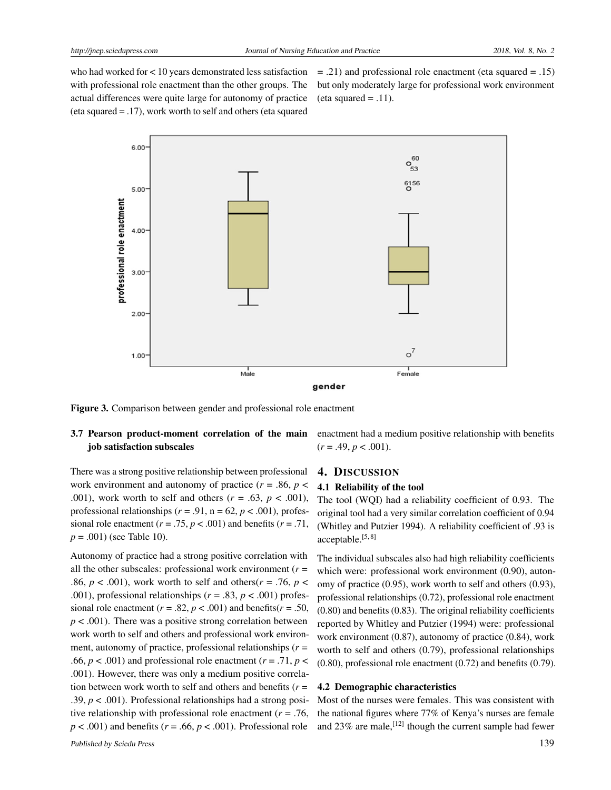who had worked for < 10 years demonstrated less satisfaction with professional role enactment than the other groups. The actual differences were quite large for autonomy of practice (eta squared = .17), work worth to self and others (eta squared

= .21) and professional role enactment (eta squared = .15) but only moderately large for professional work environment  $eeta$  squared = .11).



Figure 3. Comparison between gender and professional role enactment

## 3.7 Pearson product-moment correlation of the main job satisfaction subscales

There was a strong positive relationship between professional work environment and autonomy of practice  $(r = .86, p <$ .001), work worth to self and others  $(r = .63, p < .001)$ , professional relationships ( $r = .91$ ,  $n = 62$ ,  $p < .001$ ), professional role enactment ( $r = .75$ ,  $p < .001$ ) and benefits ( $r = .71$ , *p* = .001) (see Table 10).

Autonomy of practice had a strong positive correlation with all the other subscales: professional work environment  $(r =$ .86,  $p < .001$ ), work worth to self and others( $r = .76$ ,  $p < .001$ ) .001), professional relationships ( $r = .83$ ,  $p < .001$ ) professional role enactment ( $r = .82$ ,  $p < .001$ ) and benefits( $r = .50$ ,  $p < .001$ ). There was a positive strong correlation between work worth to self and others and professional work environment, autonomy of practice, professional relationships (*r* = .66,  $p < .001$ ) and professional role enactment ( $r = .71$ ,  $p < .001$ ) .001). However, there was only a medium positive correlation between work worth to self and others and benefits  $(r =$ .39, *p* < .001). Professional relationships had a strong positive relationship with professional role enactment (*r* = .76, *p* < .001) and benefits (*r* = .66, *p* < .001). Professional role

enactment had a medium positive relationship with benefits  $(r = .49, p < .001)$ .

#### 4. DISCUSSION

#### 4.1 Reliability of the tool

The tool (WQI) had a reliability coefficient of 0.93. The original tool had a very similar correlation coefficient of 0.94 (Whitley and Putzier 1994). A reliability coefficient of .93 is acceptable.<sup>[\[5,](#page-14-4)[8\]](#page-14-7)</sup>

The individual subscales also had high reliability coefficients which were: professional work environment (0.90), autonomy of practice (0.95), work worth to self and others (0.93), professional relationships (0.72), professional role enactment (0.80) and benefits (0.83). The original reliability coefficients reported by Whitley and Putzier (1994) were: professional work environment (0.87), autonomy of practice (0.84), work worth to self and others (0.79), professional relationships (0.80), professional role enactment (0.72) and benefits (0.79).

#### 4.2 Demographic characteristics

Most of the nurses were females. This was consistent with the national figures where 77% of Kenya's nurses are female and  $23\%$  are male,  $[12]$  though the current sample had fewer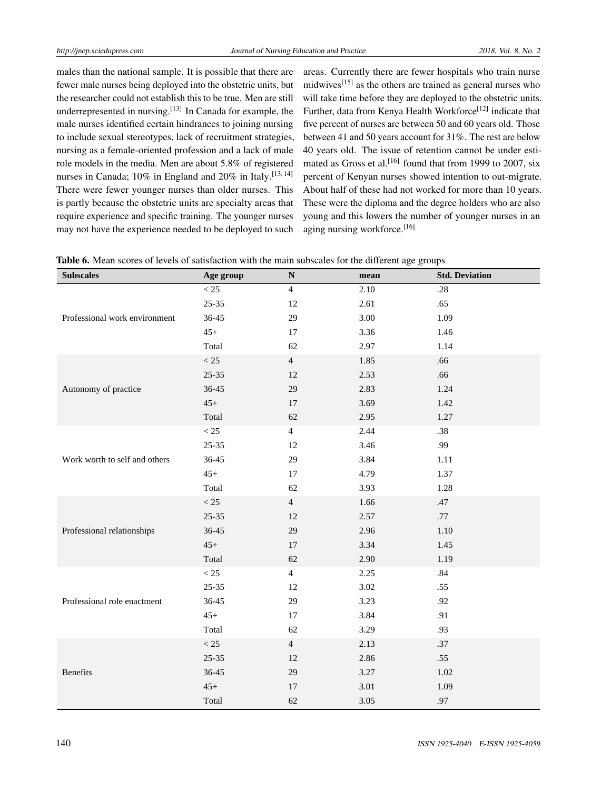males than the national sample. It is possible that there are fewer male nurses being deployed into the obstetric units, but the researcher could not establish this to be true. Men are still underrepresented in nursing.<sup>[\[13\]](#page-14-12)</sup> In Canada for example, the male nurses identified certain hindrances to joining nursing to include sexual stereotypes, lack of recruitment strategies, nursing as a female-oriented profession and a lack of male role models in the media. Men are about 5.8% of registered nurses in Canada; 10% in England and 20% in Italy.<sup>[\[13,](#page-14-12)[14\]](#page-14-13)</sup> There were fewer younger nurses than older nurses. This is partly because the obstetric units are specialty areas that require experience and specific training. The younger nurses may not have the experience needed to be deployed to such

areas. Currently there are fewer hospitals who train nurse midwives<sup>[\[15\]](#page-14-14)</sup> as the others are trained as general nurses who will take time before they are deployed to the obstetric units. Further, data from Kenya Health Workforce<sup>[\[12\]](#page-14-11)</sup> indicate that five percent of nurses are between 50 and 60 years old. Those between 41 and 50 years account for 31%. The rest are below 40 years old. The issue of retention cannot be under esti-mated as Gross et al.<sup>[\[16\]](#page-14-15)</sup> found that from 1999 to 2007, six percent of Kenyan nurses showed intention to out-migrate. About half of these had not worked for more than 10 years. These were the diploma and the degree holders who are also young and this lowers the number of younger nurses in an aging nursing workforce.<sup>[\[16\]](#page-14-15)</sup>

| <b>Subscales</b>              | Age group | ${\bf N}$      | mean | <b>Std. Deviation</b> |
|-------------------------------|-----------|----------------|------|-----------------------|
|                               | < 25      | $\overline{4}$ | 2.10 | .28                   |
|                               | $25 - 35$ | 12             | 2.61 | .65                   |
| Professional work environment | $36 - 45$ | 29             | 3.00 | 1.09                  |
|                               | $45+$     | 17             | 3.36 | 1.46                  |
|                               | Total     | 62             | 2.97 | 1.14                  |
|                               | < 25      | $\overline{4}$ | 1.85 | .66                   |
|                               | $25 - 35$ | 12             | 2.53 | .66                   |
| Autonomy of practice          | 36-45     | 29             | 2.83 | 1.24                  |
|                               | $45+$     | 17             | 3.69 | 1.42                  |
|                               | Total     | 62             | 2.95 | 1.27                  |
|                               | < 25      | $\overline{4}$ | 2.44 | $.38\,$               |
|                               | $25 - 35$ | 12             | 3.46 | .99                   |
| Work worth to self and others | $36 - 45$ | 29             | 3.84 | 1.11                  |
|                               | $45+$     | 17             | 4.79 | 1.37                  |
|                               | Total     | 62             | 3.93 | 1.28                  |
|                               | $<25\,$   | $\overline{4}$ | 1.66 | .47                   |
|                               | $25 - 35$ | 12             | 2.57 | .77                   |
| Professional relationships    | $36 - 45$ | 29             | 2.96 | $1.10\,$              |
|                               | $45+$     | 17             | 3.34 | 1.45                  |
|                               | Total     | 62             | 2.90 | 1.19                  |
|                               | $<25\,$   | $\overline{4}$ | 2.25 | $.84\,$               |
|                               | $25 - 35$ | $12\,$         | 3.02 | .55                   |
| Professional role enactment   | 36-45     | 29             | 3.23 | .92                   |
|                               | $45+$     | 17             | 3.84 | .91                   |
|                               | Total     | 62             | 3.29 | .93                   |
|                               | $<25\,$   | $\overline{4}$ | 2.13 | .37                   |
|                               | $25 - 35$ | 12             | 2.86 | .55                   |
| Benefits                      | $36 - 45$ | 29             | 3.27 | 1.02                  |
|                               | $45+$     | 17             | 3.01 | 1.09                  |
|                               | Total     | 62             | 3.05 | .97                   |

Table 6. Mean scores of levels of satisfaction with the main subscales for the different age groups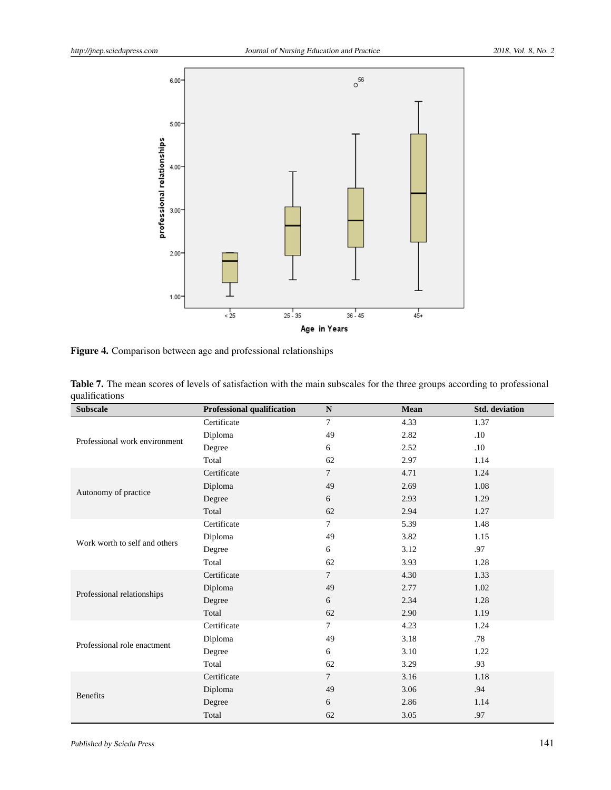

Figure 4. Comparison between age and professional relationships

| <b>Subscale</b>               | <b>Professional qualification</b> | ${\bf N}$                                                                                                                                                                                                                                                      | Mean | <b>Std.</b> deviation |
|-------------------------------|-----------------------------------|----------------------------------------------------------------------------------------------------------------------------------------------------------------------------------------------------------------------------------------------------------------|------|-----------------------|
|                               | Certificate                       | $\overline{7}$                                                                                                                                                                                                                                                 | 4.33 | 1.37                  |
| Professional work environment | Diploma                           | 49                                                                                                                                                                                                                                                             | 2.82 | .10                   |
|                               | Degree                            | 6                                                                                                                                                                                                                                                              | 2.52 | $.10\,$               |
|                               | Total                             | 62                                                                                                                                                                                                                                                             | 2.97 | 1.14                  |
|                               | Certificate                       | $\tau$                                                                                                                                                                                                                                                         | 4.71 | 1.24                  |
|                               | Diploma                           | 49                                                                                                                                                                                                                                                             | 2.69 | 1.08                  |
| Autonomy of practice          | Degree                            | 6                                                                                                                                                                                                                                                              | 2.93 | 1.29                  |
|                               | Total                             | 62<br>2.94<br>5.39<br>$\tau$<br>3.82<br>49<br>3.12<br>6<br>62<br>3.93<br>$\tau$<br>4.30<br>49<br>2.77<br>2.34<br>6<br>62<br>2.90<br>$\overline{7}$<br>4.23<br>3.18<br>49<br>3.10<br>6<br>62<br>3.29<br>$\tau$<br>3.16<br>3.06<br>49<br>2.86<br>6<br>3.05<br>62 |      | 1.27                  |
|                               | Certificate                       |                                                                                                                                                                                                                                                                |      | 1.48                  |
|                               | Diploma                           |                                                                                                                                                                                                                                                                |      | 1.15                  |
| Work worth to self and others | Degree                            |                                                                                                                                                                                                                                                                |      | .97                   |
|                               | Total                             |                                                                                                                                                                                                                                                                |      | 1.28                  |
|                               | Certificate                       |                                                                                                                                                                                                                                                                |      | 1.33                  |
|                               | Diploma                           |                                                                                                                                                                                                                                                                |      | 1.02                  |
| Professional relationships    | Degree                            |                                                                                                                                                                                                                                                                |      | 1.28                  |
|                               | Total                             |                                                                                                                                                                                                                                                                |      | 1.19                  |
|                               | Certificate                       |                                                                                                                                                                                                                                                                |      | 1.24                  |
|                               | Diploma                           |                                                                                                                                                                                                                                                                |      | .78                   |
| Professional role enactment   | Degree                            |                                                                                                                                                                                                                                                                |      | 1.22                  |
|                               | Total                             |                                                                                                                                                                                                                                                                |      | .93                   |
|                               | Certificate                       |                                                                                                                                                                                                                                                                |      | 1.18                  |
|                               | Diploma                           |                                                                                                                                                                                                                                                                |      | .94                   |
| <b>Benefits</b>               | Degree                            |                                                                                                                                                                                                                                                                |      | 1.14                  |
|                               | Total                             |                                                                                                                                                                                                                                                                |      | .97                   |

Table 7. The mean scores of levels of satisfaction with the main subscales for the three groups according to professional qualifications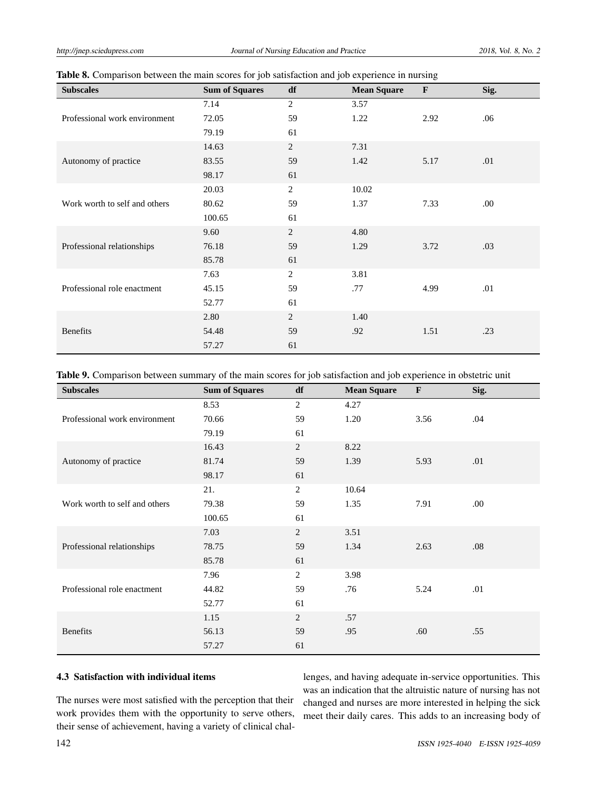#### Table 8. Comparison between the main scores for job satisfaction and job experience in nursing

| <b>Subscales</b>              | <b>Sum of Squares</b> | df           | <b>Mean Square</b> | $\mathbf{F}$ | Sig. |
|-------------------------------|-----------------------|--------------|--------------------|--------------|------|
|                               | 7.14                  | $\mathbf{2}$ | 3.57               |              |      |
| Professional work environment | 72.05                 | 59           | 1.22               | 2.92         | .06  |
|                               | 79.19                 | 61           |                    |              |      |
|                               | 14.63                 | $\sqrt{2}$   | 7.31               |              |      |
| Autonomy of practice          | 83.55                 | 59           | 1.42               | 5.17         | .01  |
|                               | 98.17                 | 61           |                    |              |      |
|                               | 20.03                 | $\sqrt{2}$   | 10.02              |              |      |
| Work worth to self and others | 80.62                 | 59           | 1.37               | 7.33         | .00  |
|                               | 100.65                | 61           |                    |              |      |
|                               | 9.60                  | $\mathbf{2}$ | 4.80               |              |      |
| Professional relationships    | 76.18                 | 59           | 1.29               | 3.72         | .03  |
|                               | 85.78                 | 61           |                    |              |      |
|                               | 7.63                  | $\mathbf{2}$ | 3.81               |              |      |
| Professional role enactment   | 45.15                 | 59           | .77                | 4.99         | .01  |
|                               | 52.77                 | 61           |                    |              |      |
|                               | 2.80                  | 2            | 1.40               |              |      |
| <b>Benefits</b>               | 54.48                 | 59           | .92                | 1.51         | .23  |
|                               | 57.27                 | 61           |                    |              |      |

Table 9. Comparison between summary of the main scores for job satisfaction and job experience in obstetric unit

| <b>Subscales</b>              | <b>Sum of Squares</b> | df             | <b>Mean Square</b> | $\mathbf{F}$ | Sig. |
|-------------------------------|-----------------------|----------------|--------------------|--------------|------|
|                               | 8.53                  | $\overline{c}$ | 4.27               |              |      |
| Professional work environment | 70.66                 | 59             | 1.20               | 3.56         | .04  |
|                               | 79.19                 | 61             |                    |              |      |
|                               | 16.43                 | $\mathbf{2}$   | 8.22               |              |      |
| Autonomy of practice          | 81.74                 | 59             | 1.39               | 5.93         | .01  |
|                               | 98.17                 | 61             |                    |              |      |
|                               | 21.                   | $\mathbf{2}$   | 10.64              |              |      |
| Work worth to self and others | 79.38                 | 59             | 1.35               | 7.91         | .00. |
|                               | 100.65                | 61             |                    |              |      |
|                               | 7.03                  | 2              | 3.51               |              |      |
| Professional relationships    | 78.75                 | 59             | 1.34               | 2.63         | .08  |
|                               | 85.78                 | 61             |                    |              |      |
|                               | 7.96                  | $\mathbf{2}$   | 3.98               |              |      |
| Professional role enactment   | 44.82                 | 59             | .76                | 5.24         | .01  |
|                               | 52.77                 | 61             |                    |              |      |
|                               | 1.15                  | $\mathbf{2}$   | .57                |              |      |
| <b>Benefits</b>               | 56.13                 | 59             | .95                | .60          | .55  |
|                               | 57.27                 | 61             |                    |              |      |

## 4.3 Satisfaction with individual items

The nurses were most satisfied with the perception that their work provides them with the opportunity to serve others, their sense of achievement, having a variety of clinical challenges, and having adequate in-service opportunities. This was an indication that the altruistic nature of nursing has not changed and nurses are more interested in helping the sick meet their daily cares. This adds to an increasing body of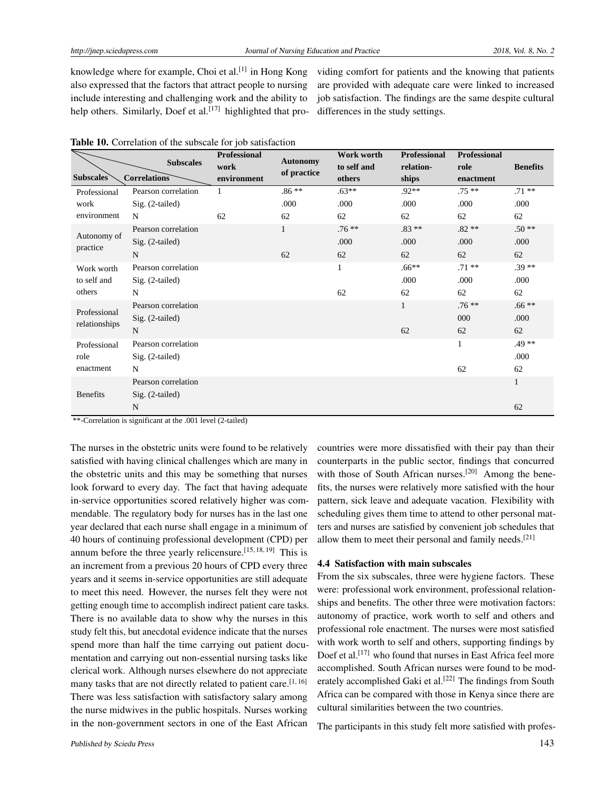knowledge where for example, Choi et al.<sup>[\[1\]](#page-14-0)</sup> in Hong Kong also expressed that the factors that attract people to nursing include interesting and challenging work and the ability to help others. Similarly, Doef et al.<sup>[\[17\]](#page-14-16)</sup> highlighted that pro-

viding comfort for patients and the knowing that patients are provided with adequate care were linked to increased job satisfaction. The findings are the same despite cultural differences in the study settings.

|                         | <b>Subscales</b>    | <b>Professional</b> | <b>Autonomy</b> | Work worth            | <b>Professional</b> | <b>Professional</b> |                 |
|-------------------------|---------------------|---------------------|-----------------|-----------------------|---------------------|---------------------|-----------------|
| Subscales               | Correlations        | work<br>environment | of practice     | to self and<br>others | relation-<br>ships  | role<br>enactment   | <b>Benefits</b> |
| Professional            | Pearson correlation |                     | $.86**$         | $.63**$               | $.92**$             | $.75**$             | $.71***$        |
| work                    | Sig. (2-tailed)     |                     | .000            | .000                  | .000                | .000                | .000            |
| environment             | N                   | 62                  | 62              | 62                    | 62                  | 62                  | 62              |
|                         | Pearson correlation |                     |                 | $.76**$               | $.83**$             | $.82**$             | $.50**$         |
| Autonomy of<br>practice | Sig. (2-tailed)     |                     |                 | .000                  | .000                | .000                | .000            |
|                         | N                   |                     | 62              | 62                    | 62                  | 62                  | 62              |
| Work worth              | Pearson correlation |                     |                 | $\mathbf{1}$          | $.66***$            | $.71**$             | $.39**$         |
| to self and             | $Sig. (2-tailed)$   |                     |                 |                       | .000                | .000                | .000            |
| others                  | N                   |                     |                 | 62                    | 62                  | 62                  | 62              |
| Professional            | Pearson correlation |                     |                 |                       | $\mathbf{1}$        | $.76***$            | $.66**$         |
| relationships           | $Sig. (2-tailed)$   |                     |                 |                       |                     | 000                 | .000            |
|                         | N                   |                     |                 |                       | 62                  | 62                  | 62              |
| Professional            | Pearson correlation |                     |                 |                       |                     | $\mathbf{1}$        | $.49**$         |
| role                    | Sig. (2-tailed)     |                     |                 |                       |                     |                     | .000            |
| enactment               | N                   |                     |                 |                       |                     | 62                  | 62              |
|                         | Pearson correlation |                     |                 |                       |                     |                     | $\mathbf{1}$    |
| <b>Benefits</b>         | $Sig. (2-tailed)$   |                     |                 |                       |                     |                     |                 |
|                         | N                   |                     |                 |                       |                     |                     | 62              |

\*\*-Correlation is significant at the .001 level (2-tailed)

The nurses in the obstetric units were found to be relatively satisfied with having clinical challenges which are many in the obstetric units and this may be something that nurses look forward to every day. The fact that having adequate in-service opportunities scored relatively higher was commendable. The regulatory body for nurses has in the last one year declared that each nurse shall engage in a minimum of 40 hours of continuing professional development (CPD) per annum before the three yearly relicensure.[\[15,](#page-14-14) [18,](#page-14-17) [19\]](#page-14-18) This is an increment from a previous 20 hours of CPD every three years and it seems in-service opportunities are still adequate to meet this need. However, the nurses felt they were not getting enough time to accomplish indirect patient care tasks. There is no available data to show why the nurses in this study felt this, but anecdotal evidence indicate that the nurses spend more than half the time carrying out patient documentation and carrying out non-essential nursing tasks like clerical work. Although nurses elsewhere do not appreciate many tasks that are not directly related to patient care.<sup>[\[1,](#page-14-0) [16\]](#page-14-15)</sup> There was less satisfaction with satisfactory salary among the nurse midwives in the public hospitals. Nurses working in the non-government sectors in one of the East African

countries were more dissatisfied with their pay than their counterparts in the public sector, findings that concurred with those of South African nurses.<sup>[\[20\]](#page-14-19)</sup> Among the benefits, the nurses were relatively more satisfied with the hour pattern, sick leave and adequate vacation. Flexibility with scheduling gives them time to attend to other personal matters and nurses are satisfied by convenient job schedules that allow them to meet their personal and family needs.<sup>[\[21\]](#page-14-20)</sup>

## 4.4 Satisfaction with main subscales

From the six subscales, three were hygiene factors. These were: professional work environment, professional relationships and benefits. The other three were motivation factors: autonomy of practice, work worth to self and others and professional role enactment. The nurses were most satisfied with work worth to self and others, supporting findings by Doef et al.<sup>[\[17\]](#page-14-16)</sup> who found that nurses in East Africa feel more accomplished. South African nurses were found to be mod-erately accomplished Gaki et al.<sup>[\[22\]](#page-14-21)</sup> The findings from South Africa can be compared with those in Kenya since there are cultural similarities between the two countries.

The participants in this study felt more satisfied with profes-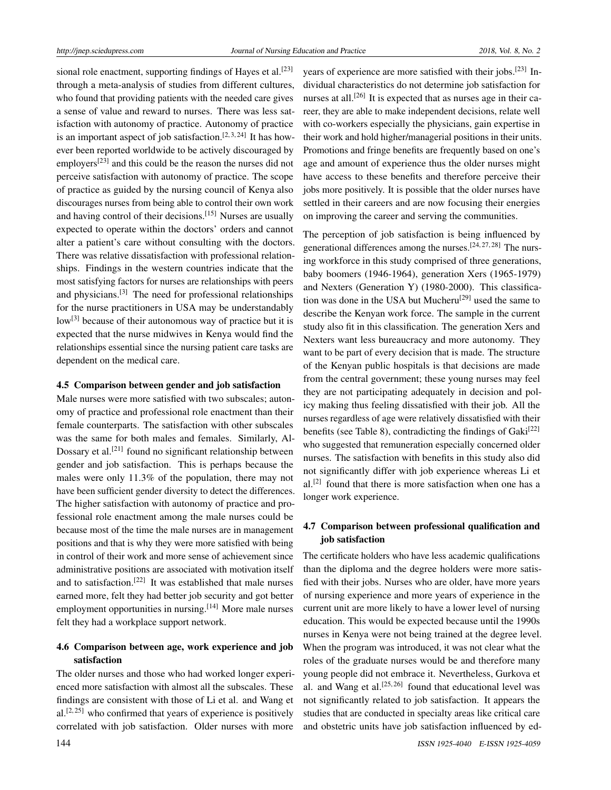sional role enactment, supporting findings of Hayes et al.<sup>[\[23\]](#page-14-22)</sup> through a meta-analysis of studies from different cultures, who found that providing patients with the needed care gives a sense of value and reward to nurses. There was less satisfaction with autonomy of practice. Autonomy of practice is an important aspect of job satisfaction.<sup>[\[2,](#page-14-1) [3,](#page-14-2) [24\]](#page-14-23)</sup> It has however been reported worldwide to be actively discouraged by employers<sup>[\[23\]](#page-14-22)</sup> and this could be the reason the nurses did not perceive satisfaction with autonomy of practice. The scope of practice as guided by the nursing council of Kenya also discourages nurses from being able to control their own work and having control of their decisions.<sup>[\[15\]](#page-14-14)</sup> Nurses are usually expected to operate within the doctors' orders and cannot alter a patient's care without consulting with the doctors. There was relative dissatisfaction with professional relationships. Findings in the western countries indicate that the most satisfying factors for nurses are relationships with peers and physicians.[\[3\]](#page-14-2) The need for professional relationships for the nurse practitioners in USA may be understandably low<sup>[\[3\]](#page-14-2)</sup> because of their autonomous way of practice but it is expected that the nurse midwives in Kenya would find the relationships essential since the nursing patient care tasks are dependent on the medical care.

#### 4.5 Comparison between gender and job satisfaction

Male nurses were more satisfied with two subscales; autonomy of practice and professional role enactment than their female counterparts. The satisfaction with other subscales was the same for both males and females. Similarly, Al-Dossary et al.<sup>[\[21\]](#page-14-20)</sup> found no significant relationship between gender and job satisfaction. This is perhaps because the males were only 11.3% of the population, there may not have been sufficient gender diversity to detect the differences. The higher satisfaction with autonomy of practice and professional role enactment among the male nurses could be because most of the time the male nurses are in management positions and that is why they were more satisfied with being in control of their work and more sense of achievement since administrative positions are associated with motivation itself and to satisfaction.[\[22\]](#page-14-21) It was established that male nurses earned more, felt they had better job security and got better employment opportunities in nursing.<sup>[\[14\]](#page-14-13)</sup> More male nurses felt they had a workplace support network.

## 4.6 Comparison between age, work experience and job satisfaction

The older nurses and those who had worked longer experienced more satisfaction with almost all the subscales. These findings are consistent with those of Li et al. and Wang et  $al.$ <sup>[\[2,](#page-14-1) [25\]](#page-14-24)</sup> who confirmed that years of experience is positively correlated with job satisfaction. Older nurses with more

years of experience are more satisfied with their jobs.<sup>[\[23\]](#page-14-22)</sup> Individual characteristics do not determine job satisfaction for nurses at all.<sup>[\[26\]](#page-14-25)</sup> It is expected that as nurses age in their career, they are able to make independent decisions, relate well with co-workers especially the physicians, gain expertise in their work and hold higher/managerial positions in their units. Promotions and fringe benefits are frequently based on one's age and amount of experience thus the older nurses might have access to these benefits and therefore perceive their jobs more positively. It is possible that the older nurses have settled in their careers and are now focusing their energies on improving the career and serving the communities.

The perception of job satisfaction is being influenced by generational differences among the nurses.[\[24,](#page-14-23) [27,](#page-14-26) [28\]](#page-14-27) The nursing workforce in this study comprised of three generations, baby boomers (1946-1964), generation Xers (1965-1979) and Nexters (Generation Y) (1980-2000). This classifica-tion was done in the USA but Mucheru<sup>[\[29\]](#page-14-28)</sup> used the same to describe the Kenyan work force. The sample in the current study also fit in this classification. The generation Xers and Nexters want less bureaucracy and more autonomy. They want to be part of every decision that is made. The structure of the Kenyan public hospitals is that decisions are made from the central government; these young nurses may feel they are not participating adequately in decision and policy making thus feeling dissatisfied with their job. All the nurses regardless of age were relatively dissatisfied with their benefits (see Table 8), contradicting the findings of  $Gaki^{[22]}$  $Gaki^{[22]}$  $Gaki^{[22]}$ who suggested that remuneration especially concerned older nurses. The satisfaction with benefits in this study also did not significantly differ with job experience whereas Li et  $al$ <sup>[\[2\]](#page-14-1)</sup> found that there is more satisfaction when one has a longer work experience.

## 4.7 Comparison between professional qualification and job satisfaction

The certificate holders who have less academic qualifications than the diploma and the degree holders were more satisfied with their jobs. Nurses who are older, have more years of nursing experience and more years of experience in the current unit are more likely to have a lower level of nursing education. This would be expected because until the 1990s nurses in Kenya were not being trained at the degree level. When the program was introduced, it was not clear what the roles of the graduate nurses would be and therefore many young people did not embrace it. Nevertheless, Gurkova et al. and Wang et al.<sup>[\[25,](#page-14-24)[26\]](#page-14-25)</sup> found that educational level was not significantly related to job satisfaction. It appears the studies that are conducted in specialty areas like critical care and obstetric units have job satisfaction influenced by ed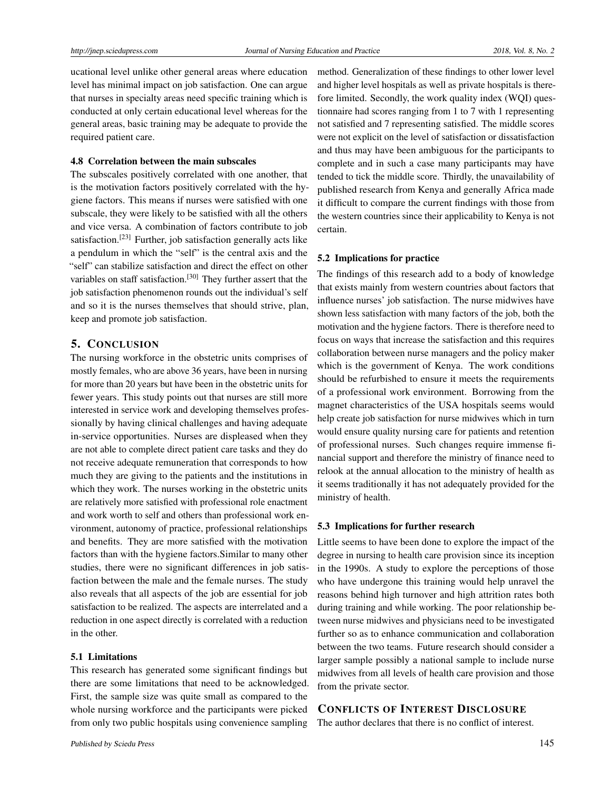ucational level unlike other general areas where education level has minimal impact on job satisfaction. One can argue that nurses in specialty areas need specific training which is conducted at only certain educational level whereas for the general areas, basic training may be adequate to provide the required patient care.

#### 4.8 Correlation between the main subscales

The subscales positively correlated with one another, that is the motivation factors positively correlated with the hygiene factors. This means if nurses were satisfied with one subscale, they were likely to be satisfied with all the others and vice versa. A combination of factors contribute to job satisfaction.[\[23\]](#page-14-22) Further, job satisfaction generally acts like a pendulum in which the "self" is the central axis and the "self" can stabilize satisfaction and direct the effect on other variables on staff satisfaction.<sup>[\[30\]](#page-14-29)</sup> They further assert that the job satisfaction phenomenon rounds out the individual's self and so it is the nurses themselves that should strive, plan, keep and promote job satisfaction.

## 5. CONCLUSION

The nursing workforce in the obstetric units comprises of mostly females, who are above 36 years, have been in nursing for more than 20 years but have been in the obstetric units for fewer years. This study points out that nurses are still more interested in service work and developing themselves professionally by having clinical challenges and having adequate in-service opportunities. Nurses are displeased when they are not able to complete direct patient care tasks and they do not receive adequate remuneration that corresponds to how much they are giving to the patients and the institutions in which they work. The nurses working in the obstetric units are relatively more satisfied with professional role enactment and work worth to self and others than professional work environment, autonomy of practice, professional relationships and benefits. They are more satisfied with the motivation factors than with the hygiene factors.Similar to many other studies, there were no significant differences in job satisfaction between the male and the female nurses. The study also reveals that all aspects of the job are essential for job satisfaction to be realized. The aspects are interrelated and a reduction in one aspect directly is correlated with a reduction in the other.

## 5.1 Limitations

This research has generated some significant findings but there are some limitations that need to be acknowledged. First, the sample size was quite small as compared to the whole nursing workforce and the participants were picked from only two public hospitals using convenience sampling

method. Generalization of these findings to other lower level and higher level hospitals as well as private hospitals is therefore limited. Secondly, the work quality index (WQI) questionnaire had scores ranging from 1 to 7 with 1 representing not satisfied and 7 representing satisfied. The middle scores were not explicit on the level of satisfaction or dissatisfaction and thus may have been ambiguous for the participants to complete and in such a case many participants may have tended to tick the middle score. Thirdly, the unavailability of published research from Kenya and generally Africa made it difficult to compare the current findings with those from the western countries since their applicability to Kenya is not certain.

## 5.2 Implications for practice

The findings of this research add to a body of knowledge that exists mainly from western countries about factors that influence nurses' job satisfaction. The nurse midwives have shown less satisfaction with many factors of the job, both the motivation and the hygiene factors. There is therefore need to focus on ways that increase the satisfaction and this requires collaboration between nurse managers and the policy maker which is the government of Kenya. The work conditions should be refurbished to ensure it meets the requirements of a professional work environment. Borrowing from the magnet characteristics of the USA hospitals seems would help create job satisfaction for nurse midwives which in turn would ensure quality nursing care for patients and retention of professional nurses. Such changes require immense financial support and therefore the ministry of finance need to relook at the annual allocation to the ministry of health as it seems traditionally it has not adequately provided for the ministry of health.

#### 5.3 Implications for further research

Little seems to have been done to explore the impact of the degree in nursing to health care provision since its inception in the 1990s. A study to explore the perceptions of those who have undergone this training would help unravel the reasons behind high turnover and high attrition rates both during training and while working. The poor relationship between nurse midwives and physicians need to be investigated further so as to enhance communication and collaboration between the two teams. Future research should consider a larger sample possibly a national sample to include nurse midwives from all levels of health care provision and those from the private sector.

## CONFLICTS OF INTEREST DISCLOSURE

The author declares that there is no conflict of interest.